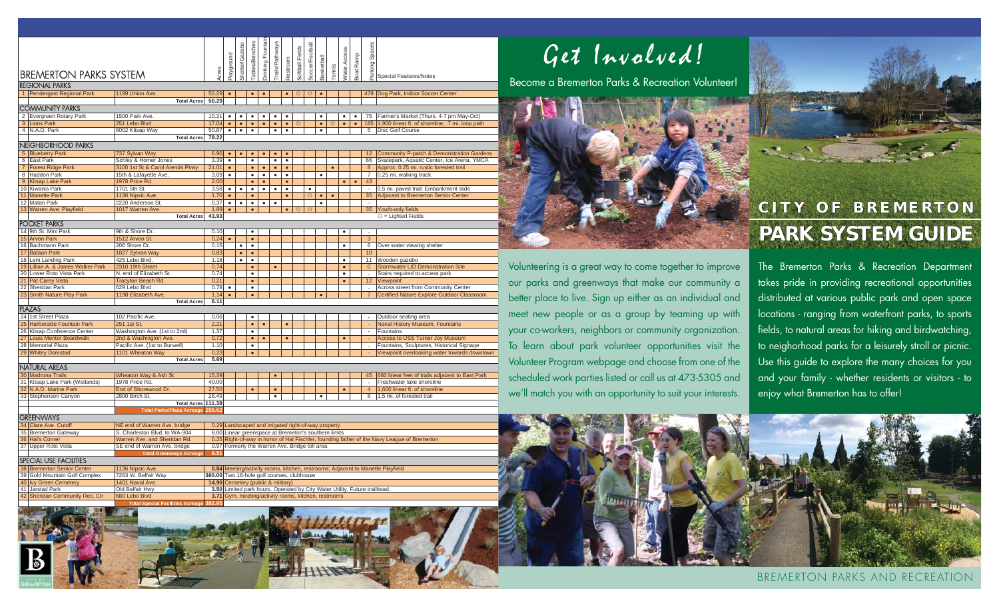|                                                         |                                                                |                                                              |               |                                                                                                                                                | Shelter/Gazebo                                      | <b>Tables/Benches</b>             | Drinking Fountair | rails/Pathways |           | Softball Fields | Soccer/Footbal |            |           |                     |           | Spaces                   |                                                     |
|---------------------------------------------------------|----------------------------------------------------------------|--------------------------------------------------------------|---------------|------------------------------------------------------------------------------------------------------------------------------------------------|-----------------------------------------------------|-----------------------------------|-------------------|----------------|-----------|-----------------|----------------|------------|-----------|---------------------|-----------|--------------------------|-----------------------------------------------------|
|                                                         |                                                                |                                                              |               | Playground                                                                                                                                     |                                                     |                                   |                   |                |           |                 |                |            |           |                     |           |                          |                                                     |
|                                                         |                                                                |                                                              | Acres         |                                                                                                                                                |                                                     |                                   |                   |                |           |                 |                |            |           |                     |           |                          |                                                     |
| <b>BREMERTON PARKS SYSTEM</b>                           |                                                                |                                                              |               |                                                                                                                                                |                                                     |                                   |                   |                | Restroom  |                 |                | Basketball | Tennis    | <b>Nater Access</b> | Boat Ramp | Parking:                 | Special Features/Notes                              |
| <b>REGIONAL PARKS</b>                                   |                                                                |                                                              |               |                                                                                                                                                |                                                     |                                   |                   |                |           |                 |                |            |           |                     |           |                          |                                                     |
|                                                         | 1 Pendergast Regional Park                                     | 1199 Union Ave.                                              | 50.29         | $\bullet$                                                                                                                                      |                                                     | $\bullet$                         | $\bullet$         |                | $\bullet$ | Ö               | Ö              | $\bullet$  |           |                     |           |                          | 479 Dog Park, Indoor Soccer Center                  |
|                                                         |                                                                | <b>Total Acres</b>                                           | 50.29         |                                                                                                                                                |                                                     |                                   |                   |                |           |                 |                |            |           |                     |           |                          |                                                     |
| <b>COMMUNITY PARKS</b>                                  |                                                                |                                                              |               |                                                                                                                                                |                                                     |                                   |                   |                |           |                 |                |            |           |                     |           |                          |                                                     |
|                                                         | 2 Evergreen Rotary Park                                        | 1500 Park Ave.                                               | 10.31         | $\bullet$                                                                                                                                      | ٠                                                   | ٠                                 | ٠                 | $\bullet$      | ٠         |                 |                | ٠          |           | $\bullet$           | $\bullet$ | 75                       | Farmer's Market (Thurs. 4-7 pm May-Oct)             |
| 3                                                       | <b>Lions Park</b>                                              | 251 Lebo Blvd.                                               | 17.04         | $\bullet$                                                                                                                                      | $\bullet$                                           | $\bullet$                         | $\bullet$         | $\bullet$      | $\bullet$ | ₩               |                | $\bullet$  | ¤         | $\bullet$           | $\bullet$ |                          | 185 1,900 linear ft. of shoreline; .7 mi. loop path |
|                                                         | 4 N.A.D. Park                                                  | 6002 Kitsap Way                                              | 50.87         | $\bullet$                                                                                                                                      | $\bullet$                                           | $\overline{\bullet}$              |                   | $\bullet$      | $\bullet$ |                 |                | $\bullet$  |           |                     |           | $\overline{5}$           | Disc Golf Course                                    |
|                                                         |                                                                | <b>Total Acres</b>                                           | 78.22         |                                                                                                                                                |                                                     |                                   |                   |                |           |                 |                |            |           |                     |           |                          |                                                     |
| NEIGHBORHOOD PARKS                                      |                                                                |                                                              |               |                                                                                                                                                |                                                     |                                   |                   |                |           |                 |                |            |           |                     |           |                          |                                                     |
|                                                         | 5 Blueberry Park                                               | 737 Sylvan Way                                               | 6.90          | $\bullet$                                                                                                                                      |                                                     |                                   |                   |                |           |                 |                |            |           |                     |           | 12                       | Community P-patch & Demonstration Gardens           |
|                                                         | 6 East Park                                                    | Schley & Homer Jones                                         | 3.39          | $\bullet$                                                                                                                                      |                                                     | $\bullet$                         |                   | $\bullet$      | $\bullet$ |                 |                |            |           |                     |           | 66                       | Skatepark, Aquatic Center, Ice Arena, YMCA          |
|                                                         | 7 Forest Ridge Park                                            | 3100 1st St & Carol Arends Pkwy                              | 21.01         | $\bullet$                                                                                                                                      |                                                     | $\bullet$                         | $\bullet$         | $\bullet$      | $\bullet$ |                 |                |            | $\bullet$ |                     |           | 8                        | Approx. 0.25 mi. rustic forested trail              |
|                                                         | 8 Haddon Park                                                  | 15th & Lafayette Ave.                                        | 3.09          | $\bullet$                                                                                                                                      |                                                     | $\bullet$                         | $\bullet$         | $\bullet$      | $\bullet$ |                 |                | $\bullet$  |           |                     |           | $\overline{7}$           | 0.25 mi. walking track                              |
| 9                                                       | <b>Kitsap Lake Park</b>                                        | 1978 Price Rd.                                               | 2.00          |                                                                                                                                                |                                                     | $\bullet$                         | $\bullet$         |                | $\bullet$ |                 |                |            |           | $\bullet$           | $\bullet$ | 43                       |                                                     |
|                                                         | 10 Kiwanis Park                                                | 1701 5th St.                                                 | 3.58          | $\bullet$                                                                                                                                      | $\bullet$                                           | $\bullet$                         | $\bullet$         | $\bullet$      | $\bullet$ |                 | $\bullet$      |            |           |                     |           |                          | 0.5 mi. paved trail; Embankment slide               |
| 11                                                      | <b>Manette Park</b>                                            | 1136 Nipsic Ave.                                             | 1.70          | $\bullet$                                                                                                                                      |                                                     | $\bullet$                         |                   |                | $\bullet$ |                 | Ö              | $\bullet$  | $\bullet$ |                     |           | 35                       | Adjacent to Bremerton Senior Center                 |
|                                                         | 12 Matan Park<br>13 Warren Ave. Playfield                      | 2220 Anderson St                                             | 0.37          | $\bullet$                                                                                                                                      | ٠                                                   | $\bullet$<br>$\bullet$            | $\bullet$         | $\bullet$      |           |                 |                | $\bullet$  |           |                     |           |                          |                                                     |
|                                                         |                                                                | 1017 Warren Ave.<br><b>Total Acres</b>                       | 1.89<br>43.93 | $\bullet$                                                                                                                                      |                                                     |                                   |                   |                | $\bullet$ | ☆               | ₩              |            |           |                     |           |                          | 35 Youth-only fields<br>☆ = Lighted Fields          |
|                                                         | <b>POCKET PARKS</b>                                            |                                                              |               |                                                                                                                                                |                                                     |                                   |                   |                |           |                 |                |            |           |                     |           |                          |                                                     |
|                                                         | 14 9th St. Mini Park                                           | 9th & Shore Dr.                                              | 0.10          |                                                                                                                                                |                                                     |                                   |                   |                |           |                 |                |            |           |                     |           |                          |                                                     |
|                                                         | 15 Arvon Park                                                  | 1512 Arvon St.                                               | 0.24          | $\bullet$                                                                                                                                      |                                                     | $\bullet$                         |                   |                |           |                 |                |            |           |                     |           | 3                        |                                                     |
|                                                         | 16 Bachmann Park                                               | 206 Shore Dr.                                                | 0.15          |                                                                                                                                                | $\bullet$                                           | $\overline{\bullet}$              |                   |                |           |                 |                |            |           | $\bullet$           |           | 6                        | Over water viewing shelter                          |
|                                                         | 17 Bataan Park                                                 | 1827 Sylvan Way                                              | 0.83          |                                                                                                                                                | $\bullet$                                           | $\bullet$                         |                   |                |           |                 |                |            |           |                     |           | 10                       |                                                     |
|                                                         | 18 Lent Landing Park                                           | 425 Lebo Blvd.                                               | 1.18          |                                                                                                                                                | $\bullet$                                           | $\bullet$                         |                   |                |           |                 |                |            |           | $\bullet$           |           | 11                       | Wooden gazebo                                       |
| 19                                                      | Lillian A. & James Walker Park                                 | 2310 19th Street                                             | 0.74          |                                                                                                                                                |                                                     | $\bullet$                         |                   | $\bullet$      |           |                 |                |            |           | $\bullet$           |           | $\mathbf{0}$             | <b>Stormwater LID Demonstration Site</b>            |
| 20                                                      | Lower Roto Vista Park                                          | N. end of Elizabeth St.                                      | 0.74          |                                                                                                                                                |                                                     | $\bullet$                         |                   |                |           |                 |                |            |           | $\bullet$           |           | J.                       | Stairs required to access park                      |
|                                                         | 21 Pat Carey Vista                                             | <b>Tracyton Beach Rd.</b>                                    | 0.21          |                                                                                                                                                |                                                     | $\bullet$                         |                   |                |           |                 |                |            |           | $\bullet$           |           | 12                       | Viewpoint                                           |
| 22                                                      | Sheridan Park                                                  | 629 Lebo Blvd                                                | 0.78          | $\bullet$                                                                                                                                      |                                                     | $\overline{\bullet}$              |                   |                |           |                 |                |            |           |                     |           | ÷,                       | Across street from Community Center                 |
|                                                         | 23 Smith Nature Play Park                                      | 1198 Elizabeth Ave.                                          | 1.14          | $\bullet$                                                                                                                                      |                                                     | $\bullet$                         |                   |                |           |                 |                | $\bullet$  |           |                     |           |                          | Certified Nature Explore Outdoor Classroom          |
|                                                         | 6.11<br><b>Total Acres</b><br><b>PLAZAS</b>                    |                                                              |               |                                                                                                                                                |                                                     |                                   |                   |                |           |                 |                |            |           |                     |           |                          |                                                     |
|                                                         |                                                                |                                                              |               |                                                                                                                                                |                                                     |                                   |                   |                |           |                 |                |            |           |                     |           |                          |                                                     |
|                                                         | 24 1st Street Plaza                                            | 102 Pacific Ave.                                             | 0.06          |                                                                                                                                                |                                                     | $\bullet$                         |                   |                |           |                 |                |            |           |                     |           |                          | Outdoor seating area                                |
| 25                                                      | <b>Harborside Fountain Park</b><br>26 Kitsap Conference Center | 251 1st St.<br>Washington Ave. (1st to 2nd)                  | 2.21<br>1.37  |                                                                                                                                                |                                                     | $\bullet$<br>$\overline{\bullet}$ | $\bullet$         |                | $\bullet$ |                 |                |            |           |                     |           | $\overline{\phantom{a}}$ | <b>Naval History Museum, Fountains</b><br>Fountains |
| $\overline{27}$                                         | <b>Louis Mentor Boardwalk</b>                                  | 2nd & Washington Ave.                                        | 0.72          |                                                                                                                                                |                                                     | $\bullet$                         | $\bullet$         |                | $\bullet$ |                 |                |            |           | $\bullet$           |           |                          | <b>Access to USS Turner Joy Museum</b>              |
| 28                                                      | <b>Memorial Plaza</b>                                          | Pacific Ave. (1st to Burwell)                                | 1.10          |                                                                                                                                                |                                                     | $\bullet$                         |                   |                |           |                 |                |            |           |                     |           |                          | Fountains, Sculptures, Historical Signage           |
|                                                         | 29 Whitey Domstad                                              | 1101 Wheaton Way                                             | 0.23          |                                                                                                                                                |                                                     | $\bullet$                         |                   |                |           |                 |                |            |           |                     |           |                          | Viewpoint overlooking water towards downtown        |
|                                                         |                                                                | <b>Total Acres</b>                                           | 5.69          |                                                                                                                                                |                                                     |                                   |                   |                |           |                 |                |            |           |                     |           |                          |                                                     |
|                                                         | <b>NATURAL AREAS</b>                                           |                                                              |               |                                                                                                                                                |                                                     |                                   |                   |                |           |                 |                |            |           |                     |           |                          |                                                     |
|                                                         | 30 Madrona Trails                                              | Wheaton Way & Ash St.                                        | 15.39         |                                                                                                                                                |                                                     |                                   |                   |                |           |                 |                |            |           |                     |           | 45                       | 660 linear feet of trails adjacent to East Park     |
|                                                         | 31 Kitsap Lake Park (Wetlands)                                 | 1978 Price Rd.                                               | 40.00         |                                                                                                                                                |                                                     |                                   |                   |                |           |                 |                |            |           |                     |           |                          | Freshwater lake shoreline                           |
|                                                         | 32 N.A.D. Marine Park                                          | End of Shorewood Dr.                                         | 27.50         |                                                                                                                                                |                                                     | $\bullet$                         |                   | $\bullet$      |           |                 |                |            |           | $\bullet$           |           | $\overline{4}$           | 1,600 linear ft. of shoreline                       |
|                                                         | 33 Stephenson Canyon                                           | 2800 Birch St.                                               | 28.49         |                                                                                                                                                |                                                     |                                   |                   | $\bullet$      |           |                 |                |            |           |                     |           | 8                        | 1.5 mi. of forested trail                           |
|                                                         |                                                                | Total Acres 111.38                                           |               |                                                                                                                                                |                                                     |                                   |                   |                |           |                 |                |            |           |                     |           |                          |                                                     |
| <b>Total Parks/Plaza Acreage 295.62</b>                 |                                                                |                                                              |               |                                                                                                                                                |                                                     |                                   |                   |                |           |                 |                |            |           |                     |           |                          |                                                     |
| <b>GREENWAYS</b>                                        |                                                                |                                                              |               |                                                                                                                                                |                                                     |                                   |                   |                |           |                 |                |            |           |                     |           |                          |                                                     |
| Clare Ave. Cutoff<br>NE end of Warren Ave. bridge<br>34 |                                                                |                                                              |               |                                                                                                                                                | 0.29 Landscaped and irrigated right-of-way property |                                   |                   |                |           |                 |                |            |           |                     |           |                          |                                                     |
|                                                         | 35 Bremerton Gateway                                           | S. Charleston Blvd. to WA-304                                |               | 8.00 Linear greenspace at Bremeton's southern limits<br>Right-of-way in honor of Hal Fischler, founding father of the Navy League of Bremerton |                                                     |                                   |                   |                |           |                 |                |            |           |                     |           |                          |                                                     |
|                                                         | 36 Hal's Corner<br>37 Upper Roto Vista                         | Warren Ave. and Sheridan Rd.<br>SE end of Warren Ave. bridge | 0.25          | 0.97 Formerly the Warren Ave. Bridge toll area                                                                                                 |                                                     |                                   |                   |                |           |                 |                |            |           |                     |           |                          |                                                     |
|                                                         |                                                                |                                                              | $Q$ $R$       |                                                                                                                                                |                                                     |                                   |                   |                |           |                 |                |            |           |                     |           |                          |                                                     |

|                               |                                | Total Greenways Acreage                        | 9.51 |                                                                                |  |  |  |  |  |  |
|-------------------------------|--------------------------------|------------------------------------------------|------|--------------------------------------------------------------------------------|--|--|--|--|--|--|
| <b>SPECIAL USE FACILITIES</b> |                                |                                                |      |                                                                                |  |  |  |  |  |  |
|                               | 38 Bremerton Senior Center     | 1136 Nipsic Ave.                               |      | 0.84 Meeting/activity rooms, kitchen, restrooms; Adjacent to Manette Playfield |  |  |  |  |  |  |
|                               | 39 Gold Mountain Golf Complex  | 7263 W. Belfair Wav                            |      | 360.00 Two 18-hole golf courses, clubhouse                                     |  |  |  |  |  |  |
|                               | 40 Ivy Green Cemetery          | 1401 Naval Ave.                                |      | 14.90 Cemetery (public & military)                                             |  |  |  |  |  |  |
|                               | 41 Jarstad Park                | Old Belfair Hwy.                               |      | 3.50 Limited park hours. Operated by City Water Utility. Future trailhead.     |  |  |  |  |  |  |
|                               | 42 Sheridan Community Rec. Ctr | 680 Lebo Blvd                                  |      | 3.71 Gym. meeting/activity rooms, kitchen, restrooms                           |  |  |  |  |  |  |
|                               |                                | <b>Total Special Facilities Acreage 382.95</b> |      |                                                                                |  |  |  |  |  |  |

Get Invalved!

Become a Bremerton Parks & Recreation Volunteer!



## **CITY OF BREMERTON I T Y O F B R E M E R T O N PARK SYSTEM GUIDE ARK**

Volunteering is a great way to come together to improve our parks and greenways that make our community a better place to live. Sign up either as an individual and meet new people or as a group by teaming up with your co-workers, neighbors or community organization. To learn about park volunteer opportunities visit the Volunteer Program webpage and choose from one of the scheduled work parties listed or call us at 473-5305 and we'll match you with an opportunity to suit your interests.

The Bremerton Parks & Recreation Department takes pride in providing recreational opportunities distributed at various public park and open space locations - ranging from waterfront parks, to sports fields, to natural areas for hiking and birdwatching, to neighorhood parks for a leisurely stroll or picnic. Use this guide to explore the many choices for you and your family - whether residents or visitors - to enjoy what Bremerton has to offer!



BREMERTON PARKS AND RECREATION